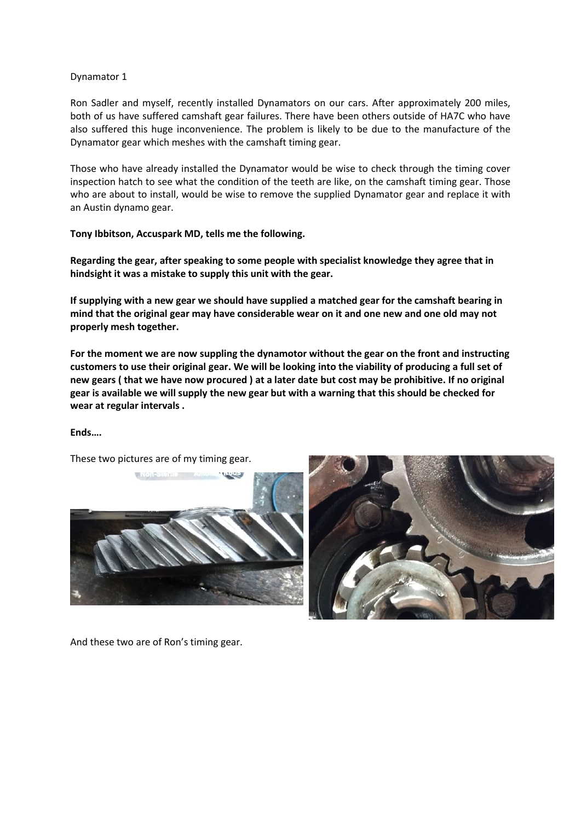## Dynamator 1

Ron Sadler and myself, recently installed Dynamators on our cars. After approximately 200 miles, both of us have suffered camshaft gear failures. There have been others outside of HA7C who have also suffered this huge inconvenience. The problem is likely to be due to the manufacture of the Dynamator gear which meshes with the camshaft timing gear.

Those who have already installed the Dynamator would be wise to check through the timing cover inspection hatch to see what the condition of the teeth are like, on the camshaft timing gear. Those who are about to install, would be wise to remove the supplied Dynamator gear and replace it with an Austin dynamo gear.

## **Tony Ibbitson, Accuspark MD, tells me the following.**

**Regarding the gear, after speaking to some people with specialist knowledge they agree that in hindsight it was a mistake to supply this unit with the gear.**

**If supplying with a new gear we should have supplied a matched gear for the camshaft bearing in mind that the original gear may have considerable wear on it and one new and one old may not properly mesh together.** 

**For the moment we are now suppling the dynamotor without the gear on the front and instructing customers to use their original gear. We will be looking into the viability of producing a full set of new gears ( that we have now procured ) at a later date but cost may be prohibitive. If no original gear is available we will supply the new gear but with a warning that this should be checked for wear at regular intervals .**

## **Ends….**

These two pictures are of my timing gear.





And these two are of Ron's timing gear.